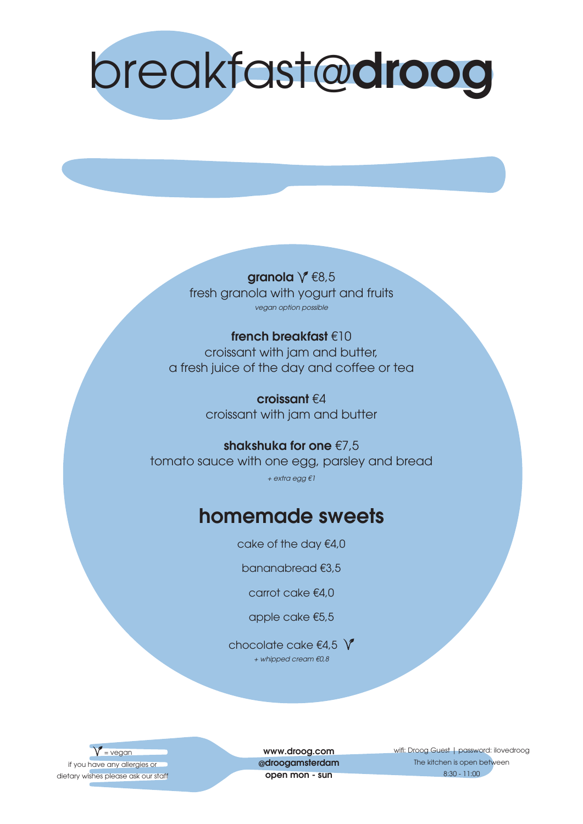

granola  $\sqrt{68,5}$ fresh granola with yogurt and fruits vegan option possible

#### french breakfast €10 croissant with jam and butter, a fresh juice of the day and coffee or tea

croissant €4 croissant with jam and butter

shakshuka for one €7,5 tomato sauce with one egg, parsley and bread + extra egg €1

### homemade sweets

cake of the day €4,0

bananabread €3,5

carrot cake €4,0

apple cake €5,5

chocolate cake  $\epsilon$ 4,5  $\sqrt{\ }$ + whipped cream €0,8

 $=$  vegan if you have any allergies or dietary wishes please ask our staff

www.droog.com @droogamsterdam open mon - sun

wifi: Droog Guest | password: ilovedroog The kitchen is open between 8:30 - 11:00